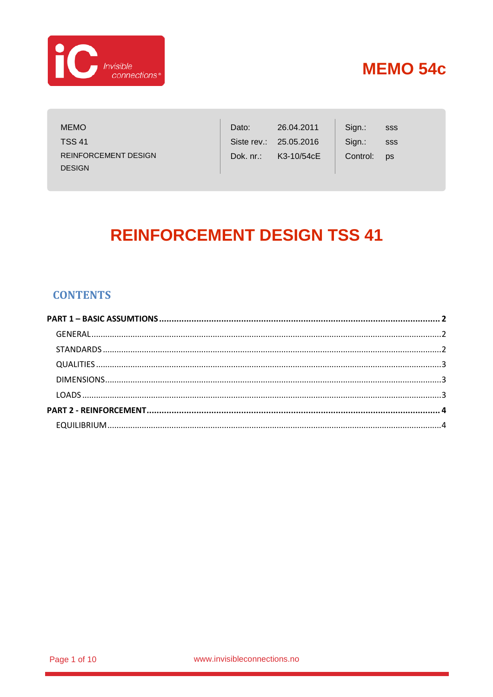

**MEMO TSS 41 REINFORCEMENT DESIGN DESIGN** 

| Dato:     | 26.04.2011             | Sign.:   | SSS       |
|-----------|------------------------|----------|-----------|
|           | Siste rev.: 25.05.2016 | Sign.:   | SSS       |
| Dok. nr.: | K3-10/54cE             | Control: | <b>DS</b> |

# **REINFORCEMENT DESIGN TSS 41**

### **CONTENTS**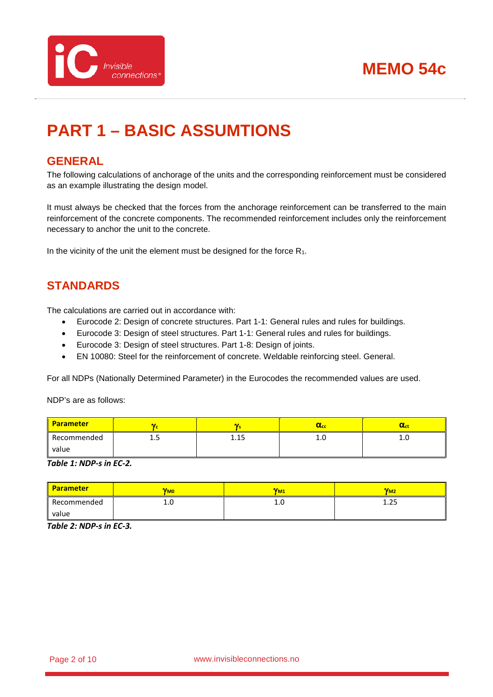

# <span id="page-1-0"></span>**PART 1 – BASIC ASSUMTIONS**

### <span id="page-1-1"></span>**GENERAL**

The following calculations of anchorage of the units and the corresponding reinforcement must be considered as an example illustrating the design model.

It must always be checked that the forces from the anchorage reinforcement can be transferred to the main reinforcement of the concrete components. The recommended reinforcement includes only the reinforcement necessary to anchor the unit to the concrete.

In the vicinity of the unit the element must be designed for the force  $R_1$ .

### <span id="page-1-2"></span>**STANDARDS**

The calculations are carried out in accordance with:

- Eurocode 2: Design of concrete structures. Part 1-1: General rules and rules for buildings.
- Eurocode 3: Design of steel structures. Part 1-1: General rules and rules for buildings.
- Eurocode 3: Design of steel structures. Part 1-8: Design of joints.
- EN 10080: Steel for the reinforcement of concrete. Weldable reinforcing steel. General.

For all NDPs (Nationally Determined Parameter) in the Eurocodes the recommended values are used.

NDP's are as follows:

| <b>Parameter</b> | v    |             | $\alpha_{\rm cc}$ | $\alpha_{\rm ct}$ |
|------------------|------|-------------|-------------------|-------------------|
| Recommended      | ر. 1 | 1.15<br>ᆠᆞᆠ | ⊥.∪               | ⊥.∪               |
| value            |      |             |                   |                   |

*Table 1: NDP-s in EC-2.*

| <b>Parameter</b> | $V_{M0}$ | $V_{M1}$ | $V_{M2}$    |
|------------------|----------|----------|-------------|
| Recommended      | ⊥.∪      | ⊥.∪      | חר<br>د ۲۰۲ |
| value            |          |          |             |

*Table 2: NDP-s in EC-3.*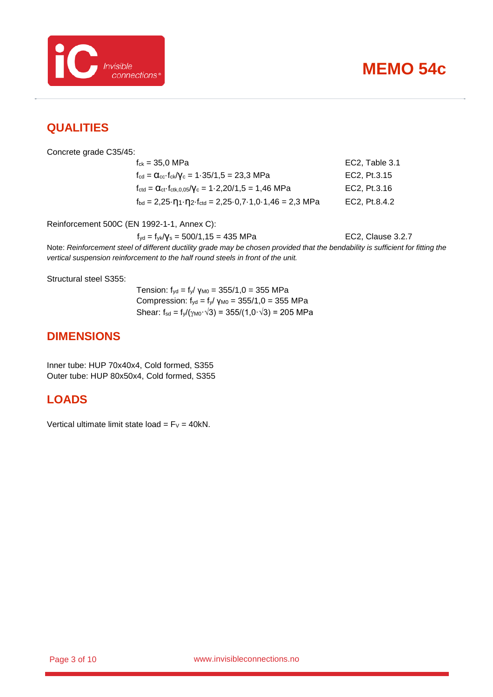

### <span id="page-2-0"></span>**QUALITIES**

Concrete grade C35/45:

 $f_{ck} = 35.0 \text{ MPa}$  EC2, Table 3.1  $f_{\text{cd}} = \alpha_{\text{cc}} \cdot f_{\text{ck}} / \gamma_{\text{c}} = 1.35 / 1.5 = 23.3 \text{ MPa}$  EC2, Pt.3.15  $f_{\text{ctd}} = \alpha_{\text{ct}} \cdot f_{\text{ctk},0,05}/V_c = 1.2,20/1,5 = 1,46 \text{ MPa}$  EC2, Pt.3.16  $f_{\text{bd}} = 2,25 \cdot \eta_1 \cdot \eta_2 \cdot f_{\text{ctd}} = 2,25 \cdot 0,7 \cdot 1,0 \cdot 1,46 = 2,3 \text{ MPa}$  EC2, Pt.8.4.2

Reinforcement 500C (EN 1992-1-1, Annex C):

 $f_{yd} = f_{yk}/V_s = 500/1,15 = 435 \text{ MPa}$  EC2, Clause 3.2.7

Note: *Reinforcement steel of different ductility grade may be chosen provided that the bendability is sufficient for fitting the vertical suspension reinforcement to the half round steels in front of the unit.*

Structural steel S355:

Tension:  $f_{yd} = f_y / \gamma_{M0} = 355/1, 0 = 355 \text{ MPa}$ Compression:  $f_{yd} = f_{y}/\gamma_{M0} = 355/1, 0 = 355$  MPa Shear:  $f_{sd} = f_{y}/(\gamma_{M0} \cdot \sqrt{3}) = 355/(1.0 \cdot \sqrt{3}) = 205 \text{ MPa}$ 

### <span id="page-2-1"></span>**DIMENSIONS**

Inner tube: HUP 70x40x4, Cold formed, S355 Outer tube: HUP 80x50x4, Cold formed, S355

### <span id="page-2-2"></span>**LOADS**

Vertical ultimate limit state load =  $F_V = 40kN$ .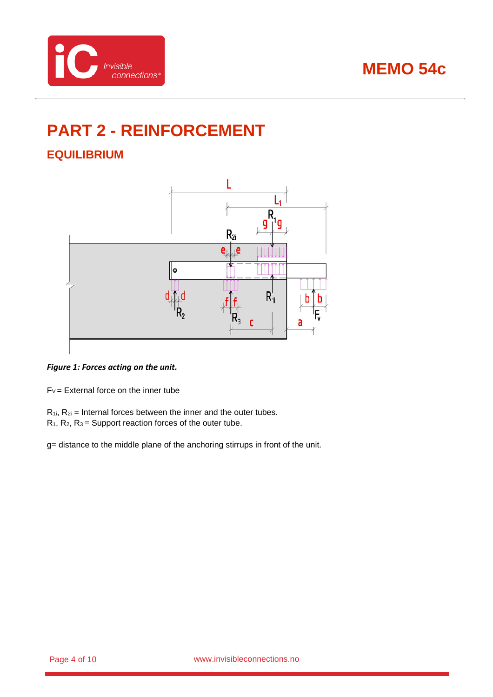

# <span id="page-3-0"></span>**PART 2 - REINFORCEMENT**

## <span id="page-3-1"></span>**EQUILIBRIUM**



*Figure 1: Forces acting on the unit.*

 $F_V =$  External force on the inner tube

- $R_{1i}$ ,  $R_{2i}$  = Internal forces between the inner and the outer tubes.
- $R_1$ ,  $R_2$ ,  $R_3$  = Support reaction forces of the outer tube.

g= distance to the middle plane of the anchoring stirrups in front of the unit.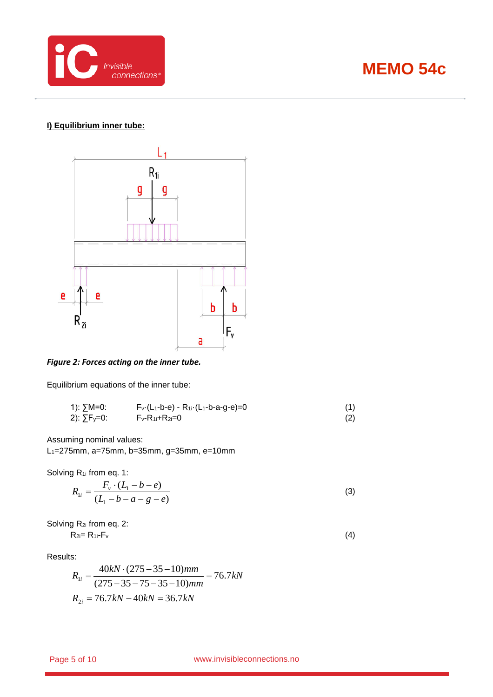

### **I) Equilibrium inner tube:**



#### *Figure 2: Forces acting on the inner tube.*

Equilibrium equations of the inner tube:

1): 
$$
\sum M=0
$$
:  
2):  $\sum F_y=0$ :  
 $F_y-R_{1i}+R_{2i}=0$  -  $R_{1i} \cdot (L_1-b-a-g-e)=0$  (1)  
(2)

Assuming nominal values:

L1=275mm, a=75mm, b=35mm, g=35mm, e=10mm

Solving R<sub>1i</sub> from eq. 1:

$$
R_{1i} = \frac{F_v \cdot (L_1 - b - e)}{(L_1 - b - a - g - e)}
$$
(3)

Solving 
$$
R_{2i}
$$
 from eq. 2:  
\n $R_{2i} = R_{1i} \cdot F_v$  (4)

Results:

$$
R_{1i} = \frac{40kN \cdot (275 - 35 - 10)mm}{(275 - 35 - 75 - 35 - 10)mm} = 76.7kN
$$
  

$$
R_{2i} = 76.7kN - 40kN = 36.7kN
$$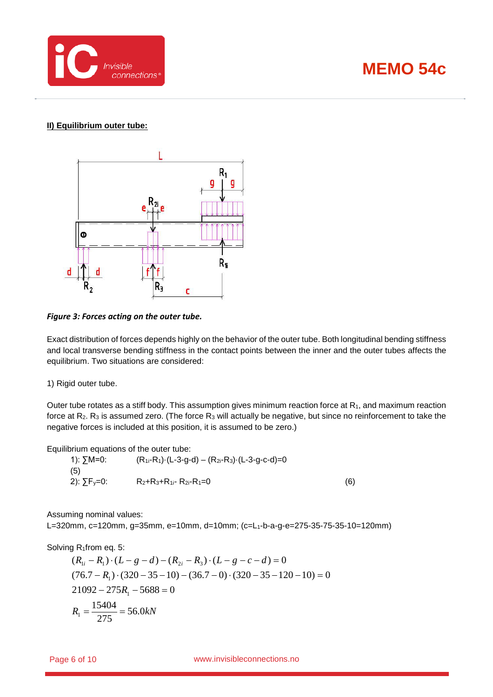

#### **II) Equilibrium outer tube:**



#### *Figure 3: Forces acting on the outer tube.*

Exact distribution of forces depends highly on the behavior of the outer tube. Both longitudinal bending stiffness and local transverse bending stiffness in the contact points between the inner and the outer tubes affects the equilibrium. Two situations are considered:

1) Rigid outer tube.

Outer tube rotates as a stiff body. This assumption gives minimum reaction force at R<sub>1</sub>, and maximum reaction force at  $R_2$ . R<sub>3</sub> is assumed zero. (The force  $R_3$  will actually be negative, but since no reinforcement to take the negative forces is included at this position, it is assumed to be zero.)

Equilibrium equations of the outer tube:

1): ∑M=0: (R<sub>1i</sub>-R<sub>1</sub>)·(L-3-g-d) – (R<sub>2i</sub>-R<sub>3</sub>)·(L-3-g-c-d)=0 (5) 2):  $\sum F_y = 0$ : R2+R3+R<sub>1i</sub>- R<sub>2i</sub>-R<sub>1</sub>=0 (6)

Assuming nominal values:

L=320mm, c=120mm, g=35mm, e=10mm, d=10mm; (c=L1-b-a-g-e=275-35-75-35-10=120mm)

Solving R<sub>1</sub>from eq. 5:

$$
(R_{1i} - R_1) \cdot (L - g - d) - (R_{2i} - R_3) \cdot (L - g - c - d) = 0
$$
  
(76.7 - R<sub>1</sub>) \cdot (320 - 35 - 10) - (36.7 - 0) \cdot (320 - 35 - 120 - 10) = 0  
21092 - 275R<sub>1</sub> - 5688 = 0  
R<sub>1</sub> =  $\frac{15404}{275}$  = 56.0kN

Page 6 of 10 www.invisibleconnections.no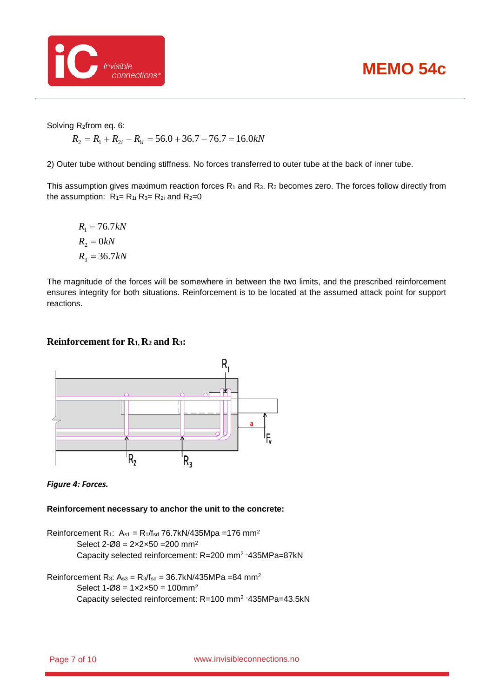

Solving R2from eq. 6:

$$
R_2 = R_1 + R_{2i} - R_{1i} = 56.0 + 36.7 - 76.7 = 16.0kN
$$

2) Outer tube without bending stiffness. No forces transferred to outer tube at the back of inner tube.

This assumption gives maximum reaction forces  $R_1$  and  $R_3$ .  $R_2$  becomes zero. The forces follow directly from the assumption:  $R_1 = R_1$  i  $R_3 = R_2$  and  $R_2 = 0$ 

 $R_3 = 36.7 kN$  $R_2 = 0kN$  $R_1 = 76.7 kN$ 

The magnitude of the forces will be somewhere in between the two limits, and the prescribed reinforcement ensures integrity for both situations. Reinforcement is to be located at the assumed attack point for support reactions.

#### **Reinforcement for R1, R2 and R3:**



*Figure 4: Forces.*

**Reinforcement necessary to anchor the unit to the concrete:**

Reinforcement R<sub>1</sub>:  $A_{s1} = R_1/f_{sd}$  76.7kN/435Mpa =176 mm<sup>2</sup> Select  $2-\emptyset8 = 2 \times 2 \times 50 = 200$  mm<sup>2</sup> Capacity selected reinforcement: R=200 mm2 ·435MPa=87kN

Reinforcement R<sub>3</sub>:  $A_{s3} = R_3/f_{sd} = 36.7kN/435MPa = 84 mm^2$ Select  $1 - \emptyset 8 = 1 \times 2 \times 50 = 100$ mm<sup>2</sup> Capacity selected reinforcement: R=100 mm2 ·435MPa=43.5kN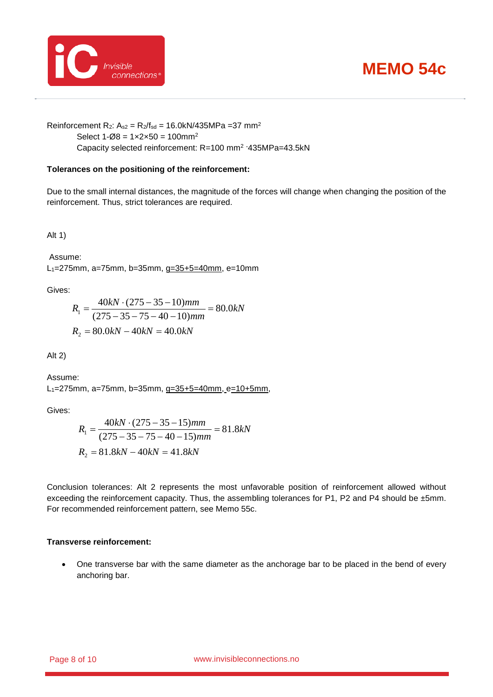

Reinforcement R<sub>2</sub>:  $A_{s2} = R_2/f_{sd} = 16.0kN/435MPa = 37 mm^2$ Select  $1 - \emptyset 8 = 1 \times 2 \times 50 = 100$ mm<sup>2</sup> Capacity selected reinforcement: R=100 mm2 ·435MPa=43.5kN

#### **Tolerances on the positioning of the reinforcement:**

Due to the small internal distances, the magnitude of the forces will change when changing the position of the reinforcement. Thus, strict tolerances are required.

Alt 1)

Assume: L1=275mm, a=75mm, b=35mm, g=35+5=40mm, e=10mm

Gives:

$$
R_1 = \frac{40kN \cdot (275 - 35 - 10)mm}{(275 - 35 - 75 - 40 - 10)mm} = 80.0kN
$$
  

$$
R_2 = 80.0kN - 40kN = 40.0kN
$$

Alt 2)

Assume: L<sub>1</sub>=275mm, a=75mm, b=35mm, g=35+5=40mm, e=10+5mm,

Gives:

$$
R_1 = \frac{40kN \cdot (275 - 35 - 15)mm}{(275 - 35 - 75 - 40 - 15)mm} = 81.8kN
$$
  

$$
R_2 = 81.8kN - 40kN = 41.8kN
$$

Conclusion tolerances: Alt 2 represents the most unfavorable position of reinforcement allowed without exceeding the reinforcement capacity. Thus, the assembling tolerances for P1, P2 and P4 should be ±5mm. For recommended reinforcement pattern, see Memo 55c.

#### **Transverse reinforcement:**

• One transverse bar with the same diameter as the anchorage bar to be placed in the bend of every anchoring bar.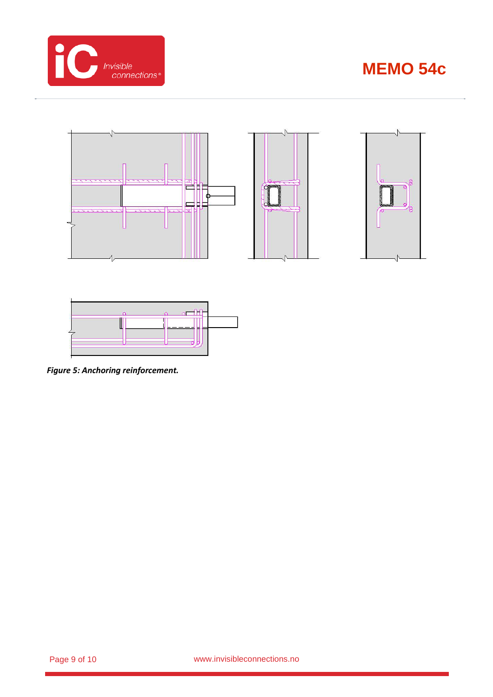







*Figure 5: Anchoring reinforcement.*